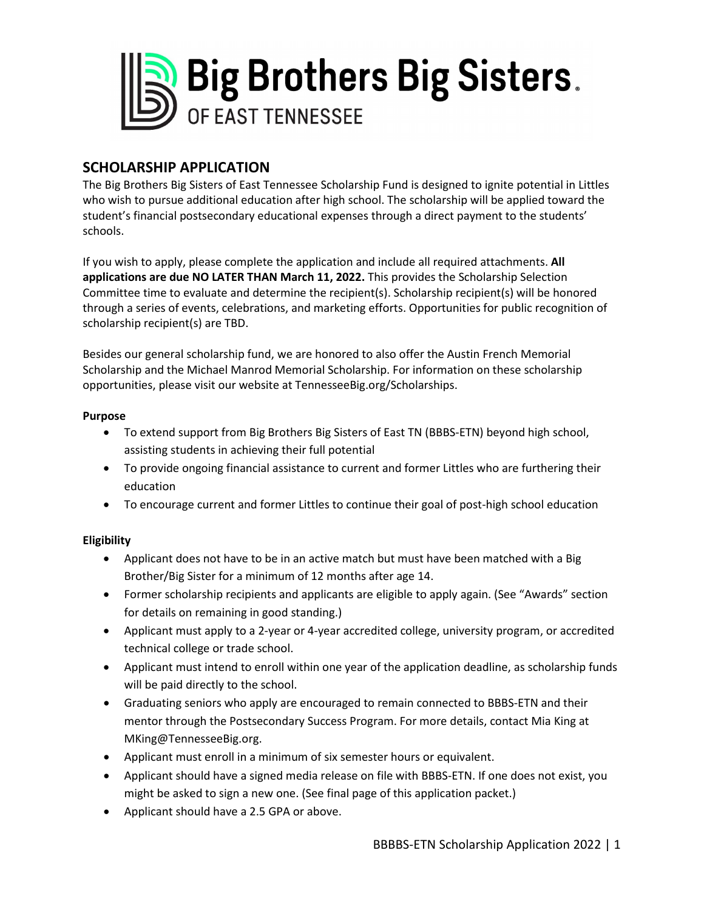

# **SCHOLARSHIP APPLICATION**

The Big Brothers Big Sisters of East Tennessee Scholarship Fund is designed to ignite potential in Littles who wish to pursue additional education after high school. The scholarship will be applied toward the student's financial postsecondary educational expenses through a direct payment to the students' schools.

If you wish to apply, please complete the application and include all required attachments. **All applications are due NO LATER THAN March 11, 2022.** This provides the Scholarship Selection Committee time to evaluate and determine the recipient(s). Scholarship recipient(s) will be honored through a series of events, celebrations, and marketing efforts. Opportunities for public recognition of scholarship recipient(s) are TBD.

Besides our general scholarship fund, we are honored to also offer the Austin French Memorial Scholarship and the Michael Manrod Memorial Scholarship. For information on these scholarship opportunities, please visit our website at TennesseeBig.org/Scholarships.

### **Purpose**

- To extend support from Big Brothers Big Sisters of East TN (BBBS-ETN) beyond high school, assisting students in achieving their full potential
- To provide ongoing financial assistance to current and former Littles who are furthering their education
- To encourage current and former Littles to continue their goal of post-high school education

### **Eligibility**

- Applicant does not have to be in an active match but must have been matched with a Big Brother/Big Sister for a minimum of 12 months after age 14.
- Former scholarship recipients and applicants are eligible to apply again. (See "Awards" section for details on remaining in good standing.)
- Applicant must apply to a 2-year or 4-year accredited college, university program, or accredited technical college or trade school.
- Applicant must intend to enroll within one year of the application deadline, as scholarship funds will be paid directly to the school.
- Graduating seniors who apply are encouraged to remain connected to BBBS-ETN and their mentor through the Postsecondary Success Program. For more details, contact Mia King at MKing@TennesseeBig.org.
- Applicant must enroll in a minimum of six semester hours or equivalent.
- Applicant should have a signed media release on file with BBBS-ETN. If one does not exist, you might be asked to sign a new one. (See final page of this application packet.)
- Applicant should have a 2.5 GPA or above.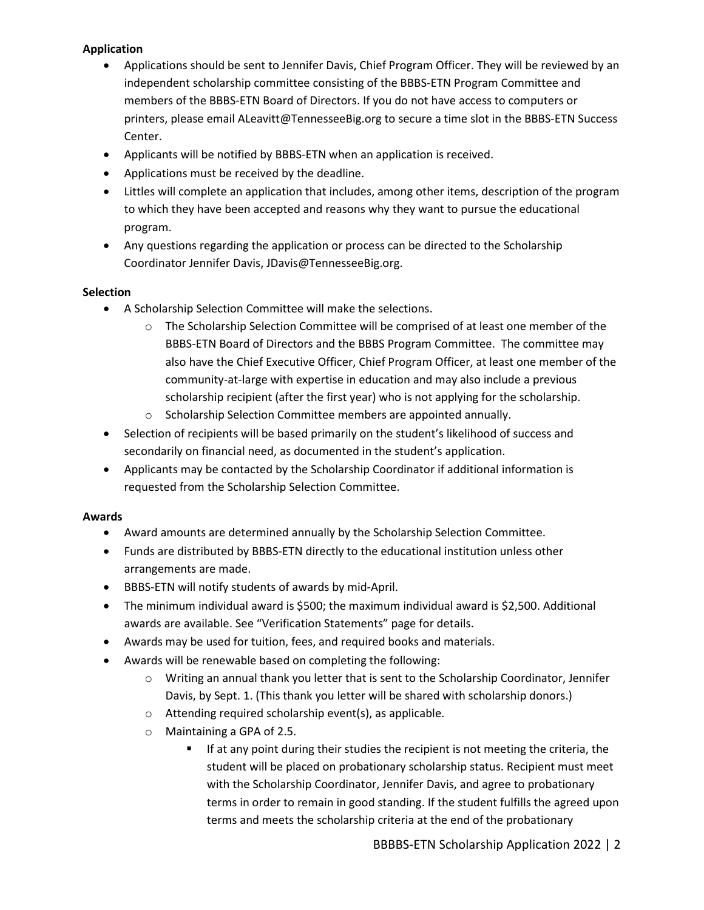### **Application**

- Applications should be sent to Jennifer Davis, Chief Program Officer. They will be reviewed by an independent scholarship committee consisting of the BBBS-ETN Program Committee and members of the BBBS-ETN Board of Directors. If you do not have access to computers or printers, please email ALeavitt@TennesseeBig.org to secure a time slot in the BBBS-ETN Success Center.
- Applicants will be notified by BBBS-ETN when an application is received.
- Applications must be received by the deadline.
- Littles will complete an application that includes, among other items, description of the program to which they have been accepted and reasons why they want to pursue the educational program.
- Any questions regarding the application or process can be directed to the Scholarship Coordinator Jennifer Davis, JDavis@TennesseeBig.org.

### **Selection**

- A Scholarship Selection Committee will make the selections.
	- o The Scholarship Selection Committee will be comprised of at least one member of the BBBS-ETN Board of Directors and the BBBS Program Committee. The committee may also have the Chief Executive Officer, Chief Program Officer, at least one member of the community-at-large with expertise in education and may also include a previous scholarship recipient (after the first year) who is not applying for the scholarship.
	- o Scholarship Selection Committee members are appointed annually.
- Selection of recipients will be based primarily on the student's likelihood of success and secondarily on financial need, as documented in the student's application.
- Applicants may be contacted by the Scholarship Coordinator if additional information is requested from the Scholarship Selection Committee.

### **Awards**

- Award amounts are determined annually by the Scholarship Selection Committee.
- Funds are distributed by BBBS-ETN directly to the educational institution unless other arrangements are made.
- BBBS-ETN will notify students of awards by mid-April.
- The minimum individual award is \$500; the maximum individual award is \$2,500. Additional awards are available. See "Verification Statements" page for details.
- Awards may be used for tuition, fees, and required books and materials.
- Awards will be renewable based on completing the following:
	- $\circ$  Writing an annual thank you letter that is sent to the Scholarship Coordinator, Jennifer Davis, by Sept. 1. (This thank you letter will be shared with scholarship donors.)
	- o Attending required scholarship event(s), as applicable.
	- o Maintaining a GPA of 2.5.
		- If at any point during their studies the recipient is not meeting the criteria, the student will be placed on probationary scholarship status. Recipient must meet with the Scholarship Coordinator, Jennifer Davis, and agree to probationary terms in order to remain in good standing. If the student fulfills the agreed upon terms and meets the scholarship criteria at the end of the probationary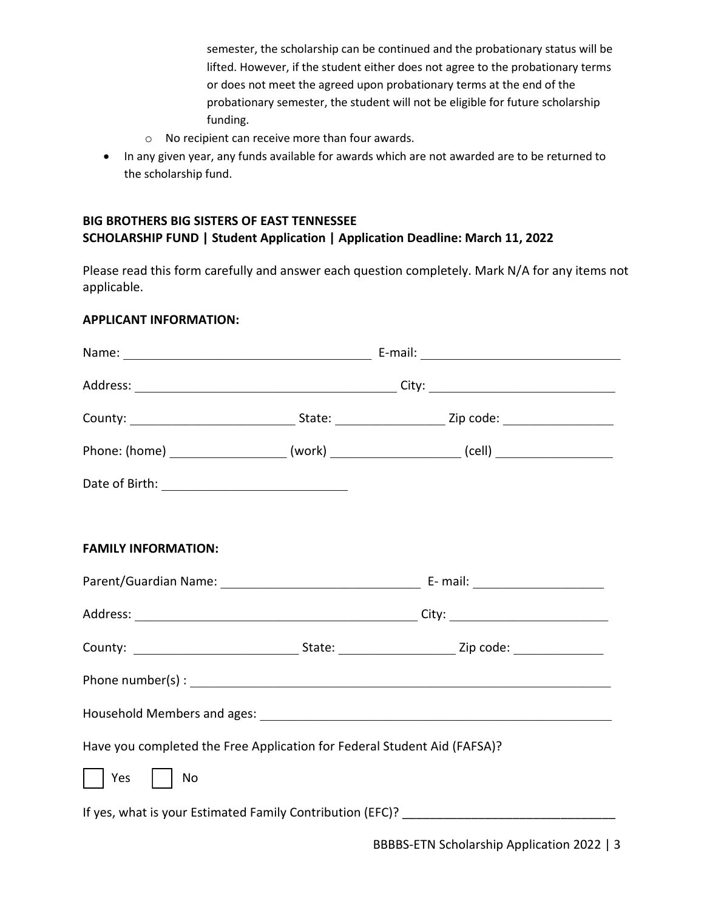semester, the scholarship can be continued and the probationary status will be lifted. However, if the student either does not agree to the probationary terms or does not meet the agreed upon probationary terms at the end of the probationary semester, the student will not be eligible for future scholarship funding.

- o No recipient can receive more than four awards.
- In any given year, any funds available for awards which are not awarded are to be returned to the scholarship fund.

# **BIG BROTHERS BIG SISTERS OF EAST TENNESSEE SCHOLARSHIP FUND | Student Application | Application Deadline: March 11, 2022**

Please read this form carefully and answer each question completely. Mark N/A for any items not applicable.

### **APPLICANT INFORMATION:**

| <b>FAMILY INFORMATION:</b>                                               |  |  |  |
|--------------------------------------------------------------------------|--|--|--|
|                                                                          |  |  |  |
|                                                                          |  |  |  |
|                                                                          |  |  |  |
| Phone number(s) : $\sqrt{\frac{1}{2} \sum_{n=1}^{n} (n-1)!}$             |  |  |  |
|                                                                          |  |  |  |
| Have you completed the Free Application for Federal Student Aid (FAFSA)? |  |  |  |
| Yes<br>No                                                                |  |  |  |
|                                                                          |  |  |  |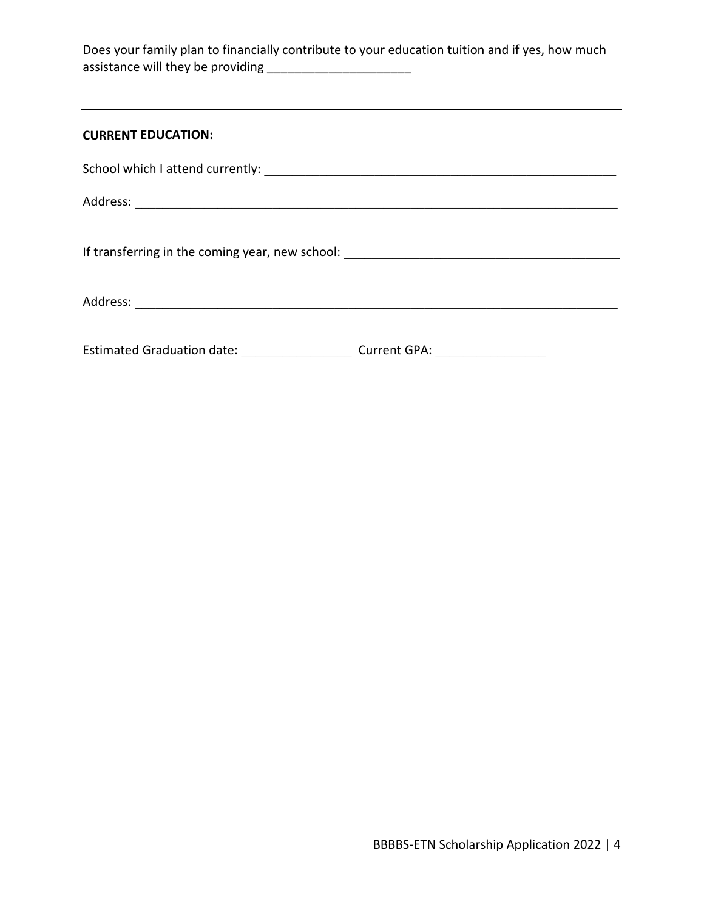Does your family plan to financially contribute to your education tuition and if yes, how much assistance will they be providing \_\_\_\_\_\_\_\_\_\_\_\_\_\_\_\_\_\_\_\_\_

| <b>CURRENT EDUCATION:</b>                         |                                  |
|---------------------------------------------------|----------------------------------|
|                                                   |                                  |
|                                                   |                                  |
|                                                   |                                  |
|                                                   |                                  |
| <b>Estimated Graduation date:</b> Analyzed School | Current GPA: <u>____________</u> |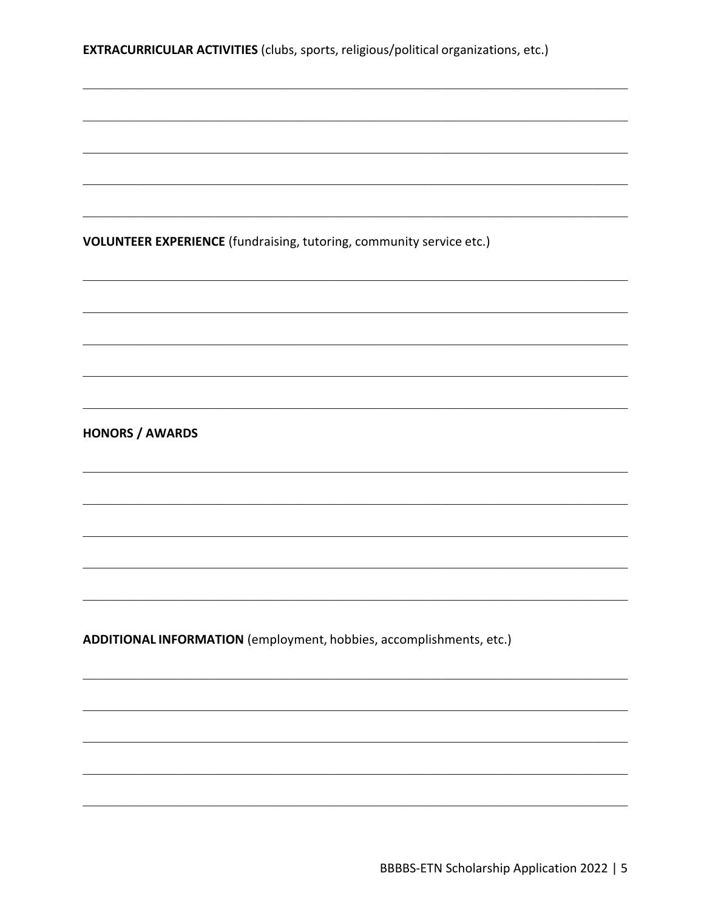EXTRACURRICULAR ACTIVITIES (clubs, sports, religious/political organizations, etc.)

VOLUNTEER EXPERIENCE (fundraising, tutoring, community service etc.)

**HONORS / AWARDS** 

ADDITIONAL INFORMATION (employment, hobbies, accomplishments, etc.)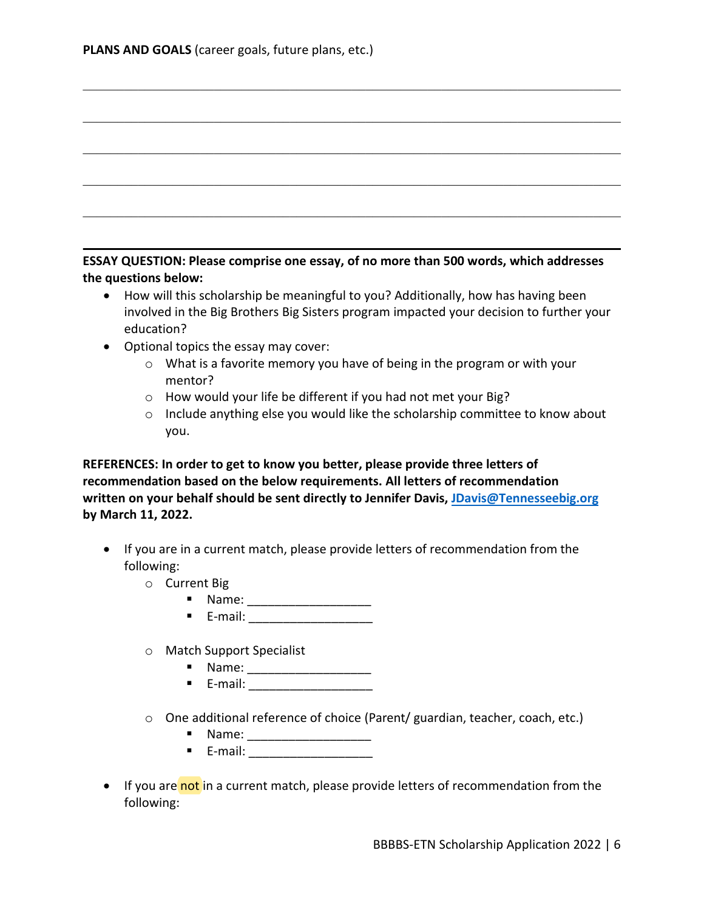| ESSAY QUESTION: Please comprise one essay, of no more than 500 words, which addresses |
|---------------------------------------------------------------------------------------|
| the questions below:                                                                  |

\_\_\_\_\_\_\_\_\_\_\_\_\_\_\_\_\_\_\_\_\_\_\_\_\_\_\_\_\_\_\_\_\_\_\_\_\_\_\_\_\_\_\_\_\_\_\_\_\_\_\_\_\_\_\_\_\_\_\_\_\_\_\_\_\_\_\_\_\_\_\_\_\_\_\_\_\_\_

\_\_\_\_\_\_\_\_\_\_\_\_\_\_\_\_\_\_\_\_\_\_\_\_\_\_\_\_\_\_\_\_\_\_\_\_\_\_\_\_\_\_\_\_\_\_\_\_\_\_\_\_\_\_\_\_\_\_\_\_\_\_\_\_\_\_\_\_\_\_\_\_\_\_\_\_\_\_

 $\_$  , and the set of the set of the set of the set of the set of the set of the set of the set of the set of the set of the set of the set of the set of the set of the set of the set of the set of the set of the set of th

\_\_\_\_\_\_\_\_\_\_\_\_\_\_\_\_\_\_\_\_\_\_\_\_\_\_\_\_\_\_\_\_\_\_\_\_\_\_\_\_\_\_\_\_\_\_\_\_\_\_\_\_\_\_\_\_\_\_\_\_\_\_\_\_\_\_\_\_\_\_\_\_\_\_\_\_\_\_

- How will this scholarship be meaningful to you? Additionally, how has having been involved in the Big Brothers Big Sisters program impacted your decision to further your education?
- Optional topics the essay may cover:
	- o What is a favorite memory you have of being in the program or with your mentor?
	- o How would your life be different if you had not met your Big?
	- o Include anything else you would like the scholarship committee to know about you.

**REFERENCES: In order to get to know you better, please provide three letters of recommendation based on the below requirements. All letters of recommendation written on your behalf should be sent directly to Jennifer Davis, [JDavis@Tennesseebig.org](mailto:JDavis@Tennesseebig.org) by March 11, 2022.** 

- If you are in a current match, please provide letters of recommendation from the following:
	- o Current Big
		- **Name:** 2008. 2010. 2010. 2010. 2010. 2010. 2010. 2010. 2010. 2011. 2012. 2012. 2012. 2012. 2012. 2013. 2014. 2014. 2014. 2014. 2014. 2014. 2014. 2014. 2014. 2014. 2014. 2014. 2014. 2014. 2014. 2014. 2014. 2014. 2014. 2014
		- $\blacksquare$  E-mail:  $\blacksquare$
	- o Match Support Specialist
		- **Name:** 2008. 2010. 2010. 2010. 2010. 2010. 2010. 2010. 2010. 2011. 2012. 2013. 2014. 2016. 2016. 2016. 2016. 20<br>2010. 2011. 2012. 2012. 2012. 2012. 2012. 2012. 2012. 2012. 2012. 2013. 2014. 2015. 2016. 2016. 2016. 2016. 2
		- $\blacksquare$  E-mail:  $\blacksquare$
	- o One additional reference of choice (Parent/ guardian, teacher, coach, etc.)
		- **Name:** 2008. 2010. 2010. 2010. 2010. 2010. 2010. 2010. 2010. 2011. 2012. 2012. 2012. 2013. 2014. 2014. 2014. 20<br>2014. 2012. 2012. 2012. 2012. 2012. 2012. 2012. 2012. 2013. 2014. 2014. 2014. 2014. 2014. 2014. 2014. 2014. 2
		- $\blacksquare$  E-mail:  $\blacksquare$
- If you are not in a current match, please provide letters of recommendation from the following: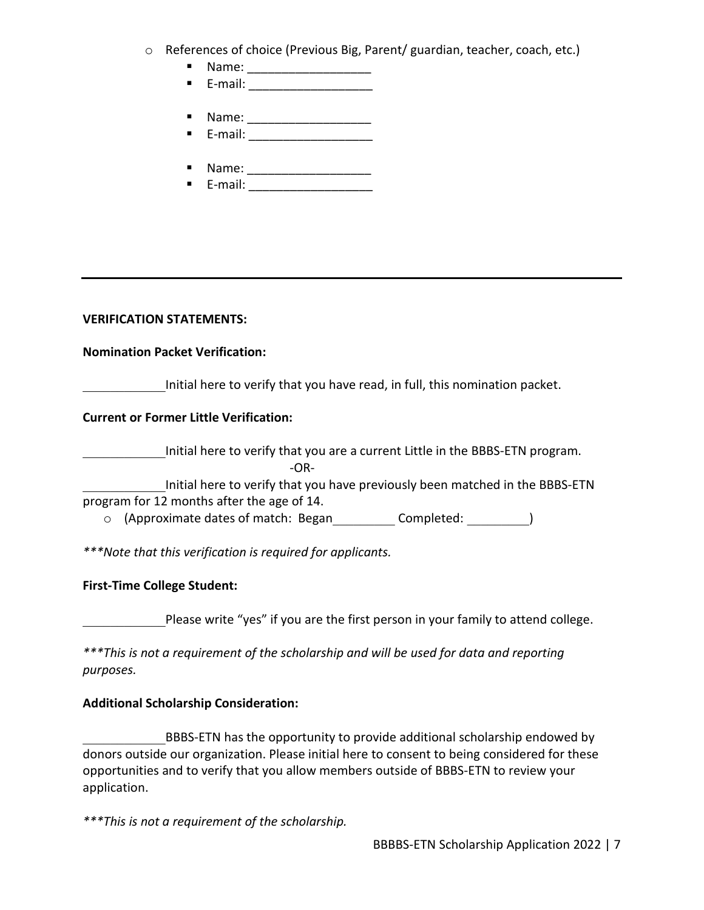- o References of choice (Previous Big, Parent/ guardian, teacher, coach, etc.)
	- Name: \_\_\_\_\_\_\_\_\_\_\_\_\_\_\_\_\_\_ E-mail: \_\_\_\_\_\_\_\_\_\_\_\_\_\_\_\_\_\_
	-
	- **Name:** 2008. 2010. 2010. 2010. 2010. 2010. 2010. 2010. 2010. 2011. 2012. 2012. 2012. 2012. 2012. 2013. 2014. 2014. 2014. 2014. 2014. 2014. 2014. 2014. 2014. 2014. 2014. 2014. 2014. 2014. 2014. 2014. 2014. 2014. 2014. 2014  $\blacksquare$  E-mail: \_\_\_\_\_\_\_\_\_\_\_\_\_\_\_\_\_\_\_\_\_\_\_\_
	- Name: \_\_\_\_\_\_\_\_\_\_\_\_\_\_\_\_\_\_
	- **E**-mail: \_\_\_\_\_\_\_\_\_\_\_\_\_\_\_\_\_\_\_\_\_\_

# **VERIFICATION STATEMENTS:**

### **Nomination Packet Verification:**

Initial here to verify that you have read, in full, this nomination packet.

# **Current or Former Little Verification:**

\_\_\_\_\_\_\_\_\_\_\_\_Initial here to verify that you are a current Little in the BBBS-ETN program. -OR-

Initial here to verify that you have previously been matched in the BBBS-ETN program for 12 months after the age of 14.

o (Approximate dates of match: Began\_\_\_\_\_\_\_\_\_ Completed: \_\_\_\_\_\_\_\_\_)

*\*\*\*Note that this verification is required for applicants.* 

# **First-Time College Student:**

Please write "yes" if you are the first person in your family to attend college.

*\*\*\*This is not a requirement of the scholarship and will be used for data and reporting purposes.* 

# **Additional Scholarship Consideration:**

BBBS-ETN has the opportunity to provide additional scholarship endowed by donors outside our organization. Please initial here to consent to being considered for these opportunities and to verify that you allow members outside of BBBS-ETN to review your application.

*\*\*\*This is not a requirement of the scholarship.*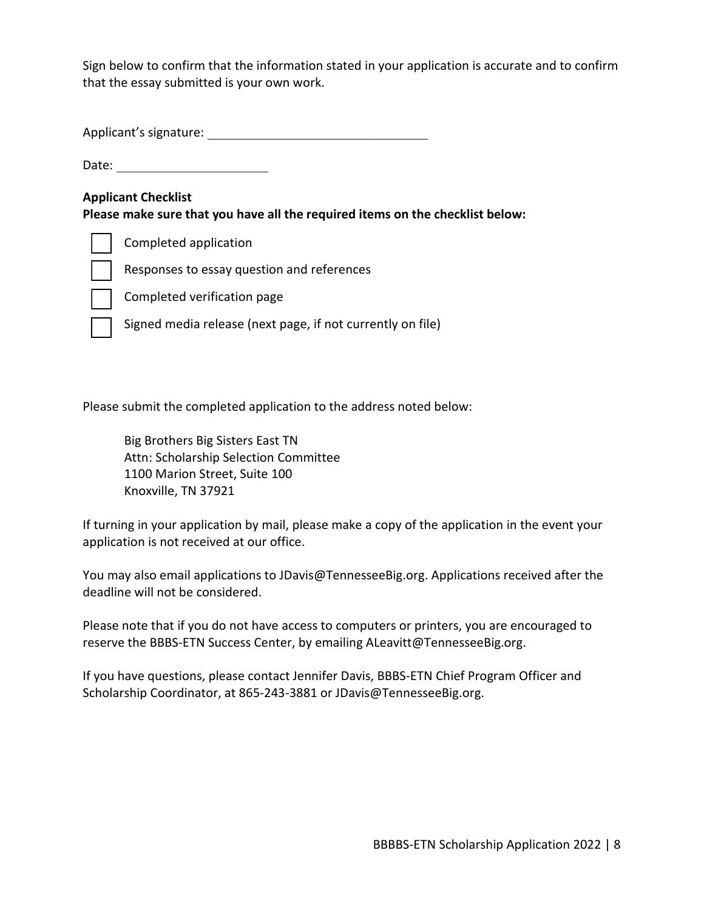Sign below to confirm that the information stated in your application is accurate and to confirm that the essay submitted is your own work.

Applicant's signature: \_\_\_\_\_\_\_\_\_\_\_\_\_\_\_\_\_\_\_\_\_\_\_\_\_\_\_\_\_\_\_\_

Date:  $\Box$ 

### **Applicant Checklist**

**Please make sure that you have all the required items on the checklist below:**

Completed application

Responses to essay question and references

Completed verification page

Signed media release (next page, if not currently on file)

Please submit the completed application to the address noted below:

Big Brothers Big Sisters East TN Attn: Scholarship Selection Committee 1100 Marion Street, Suite 100 Knoxville, TN 37921

If turning in your application by mail, please make a copy of the application in the event your application is not received at our office.

You may also email applications to JDavis@TennesseeBig.org. Applications received after the deadline will not be considered.

Please note that if you do not have access to computers or printers, you are encouraged to reserve the BBBS-ETN Success Center, by emailing ALeavitt@TennesseeBig.org.

If you have questions, please contact Jennifer Davis, BBBS-ETN Chief Program Officer and Scholarship Coordinator, at 865-243-3881 or JDavis@TennesseeBig.org.